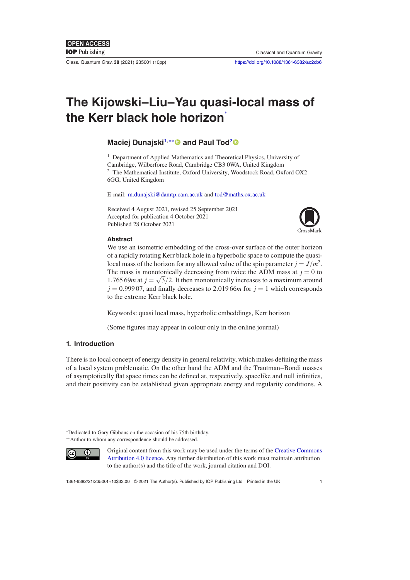Class. Quantum Grav. **38** (2021) 235001 (10pp) <https://doi.org/10.1088/1361-6382/ac2cb6>

# **The Kijowski–Liu–Yau quasi-local mass of the Kerr black hole horizon**<sup>∗</sup>

# **Maciej Dunajski**1,∗∗ **and Paul Tod**[2](https://orcid.org/0000-0002-6086-4850)

<sup>1</sup> Department of Applied Mathematics and Theoretical Physics, University of Cambridge, Wilberforce Road, Cambridge CB3 0WA, United Kingdom <sup>2</sup> The Mathematical Institute, Oxford University, Woodstock Road, Oxford OX2 6GG, United Kingdom

E-mail: [m.dunajski@damtp.cam.ac.uk](mailto:m.dunajski@damtp.cam.ac.uk) and [tod@maths.ox.ac.uk](mailto:tod@maths.ox.ac.uk)

Received 4 August 2021, revised 25 September 2021 Accepted for publication 4 October 2021 Published 28 October 2021



#### **Abstract**

We use an isometric embedding of the cross-over surface of the outer horizon of a rapidly rotating Kerr black hole in a hyperbolic space to compute the quasilocal mass of the horizon for any allowed value of the spin parameter  $j = J/m^2$ . The mass is monotonically decreasing from twice the ADM mass at  $j = 0$  to 1.765 69*m* at  $j = \sqrt{3}/2$ . It then monotonically increases to a maximum around  $j = 0.99907$ , and finally decreases to 2.01966*m* for  $j = 1$  which corresponds to the extreme Kerr black hole.

Keywords: quasi local mass, hyperbolic embeddings, Kerr horizon

(Some figures may appear in colour only in the online journal)

# **1. Introduction**

There is no local concept of energy density in general relativity, which makes defining the mass of a local system problematic. On the other hand the ADM and the Trautman–Bondi masses of asymptotically flat space times can be defined at, respectively, spacelike and null infinities, and their positivity can be established given appropriate energy and regularity conditions. A

<sup>∗</sup>Dedicated to Gary Gibbons on the occasion of his 75th birthday. ∗∗Author to whom any correspondence should be addressed.



Original content from this work may be used under the terms of the Creative Commons [Attribution 4.0 licence. Any further distribution of this work must maintain attribution](https://creativecommons.org/licenses/by/4.0/) to the author(s) and the title of the work, journal citation and DOI.

1361-6382/21/235001+10\$33.00 © 2021 The Author(s). Published by IOP Publishing Ltd Printed in the UK 1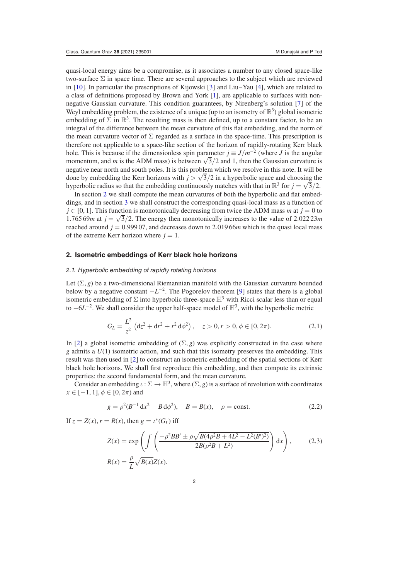quasi-local energy aims be a compromise, as it associates a number to any closed space-like two-surface  $\Sigma$  in space time. There are several approaches to the subject which are reviewed in [\[10\]](#page-8-0). In particular the prescriptions of Kijowski [\[3\]](#page-8-1) and Liu–Yau [\[4\]](#page-8-2), which are related to a class of definitions proposed by Brown and York [\[1\]](#page-8-3), are applicable to surfaces with nonnegative Gaussian curvature. This condition guarantees, by Nirenberg's solution [\[7\]](#page-8-4) of the Weyl embedding problem, the existence of a unique (up to an isometry of  $\mathbb{R}^3$ ) global isometric embedding of  $\Sigma$  in  $\mathbb{R}^3$ . The resulting mass is then defined, up to a constant factor, to be an integral of the difference between the mean curvature of this flat embedding, and the norm of the mean curvature vector of  $\Sigma$  regarded as a surface in the space-time. This prescription is therefore not applicable to a space-like section of the horizon of rapidly-rotating Kerr black hole. This is because if the dimensionless spin parameter  $j \equiv J/m^{-2}$  (where *J* is the angular momentum, and *m* is the ADM mass) is between  $\sqrt{3}/2$  and 1, then the Gaussian curvature is negative near north and south poles. It is this problem which we resolve in this note. It will be done by embedding the Kerr horizons with  $j > \sqrt{3}/2$  in a hyperbolic space and choosing the hyperbolic radius so that the embedding continuously matches with that in  $\mathbb{R}^3$  for  $j = \sqrt{3}/2$ .

In section [2](#page-1-0) we shall compute the mean curvatures of both the hyperbolic and flat embeddings, and in section [3](#page-3-0) we shall construct the corresponding quasi-local mass as a function of  $j \in [0, 1]$ . This function is monotonically decreasing from twice the ADM mass *m* at  $j = 0$  to 1.765 69*m* at  $j = \sqrt{3}/2$ . The energy then monotonically increases to the value of 2.022 23*m* reached around  $j = 0.99907$ , and decreases down to 2.01966 $m$  which is the quasi local mass of the extreme Kerr horizon where  $j = 1$ .

#### <span id="page-1-0"></span>**2. Isometric embeddings of Kerr black hole horizons**

#### 2.1. Hyperbolic embedding of rapidly rotating horizons

Let  $(\Sigma, g)$  be a two-dimensional Riemannian manifold with the Gaussian curvature bounded below by a negative constant  $-L^{-2}$ . The Pogorelov theorem [\[9\]](#page-8-5) states that there is a global isometric embedding of  $\Sigma$  into hyperbolic three-space  $\mathbb{H}^3$  with Ricci scalar less than or equal to  $-6L^{-2}$ . We shall consider the upper half-space model of  $\mathbb{H}^3$ , with the hyperbolic metric

$$
G_L = \frac{L^2}{z^2} \left( dz^2 + dr^2 + r^2 d\phi^2 \right), \quad z > 0, r > 0, \phi \in [0, 2\pi). \tag{2.1}
$$

In [\[2\]](#page-8-6) a global isometric embedding of  $(\Sigma, g)$  was explicitly constructed in the case where *g* admits a *U*(1) isometric action, and such that this isometry preserves the embedding. This result was then used in [\[2\]](#page-8-6) to construct an isometric embedding of the spatial sections of Kerr black hole horizons. We shall first reproduce this embedding, and then compute its extrinsic properties: the second fundamental form, and the mean curvature.

Consider an embedding  $\iota : \Sigma \to \mathbb{H}^3$ , where  $(\Sigma, g)$  is a surface of revolution with coordinates  $x \in [-1, 1]$ ,  $\phi \in [0, 2\pi)$  and

<span id="page-1-1"></span>
$$
g = \rho^2 (B^{-1} \, dx^2 + B \, d\phi^2), \quad B = B(x), \quad \rho = \text{const.}
$$
 (2.2)

If  $z = Z(x)$ ,  $r = R(x)$ , then  $g = \iota^*(G_L)$  iff

<span id="page-1-2"></span>
$$
Z(x) = \exp\left(\int \left(\frac{-\rho^2 BB' \pm \rho \sqrt{B(A\rho^2 B + 4L^2 - L^2(B')^2)}}{2B(\rho^2 B + L^2)}\right) dx\right),\qquad(2.3)
$$

$$
R(x) = \frac{\rho}{L} \sqrt{B(x)} Z(x).
$$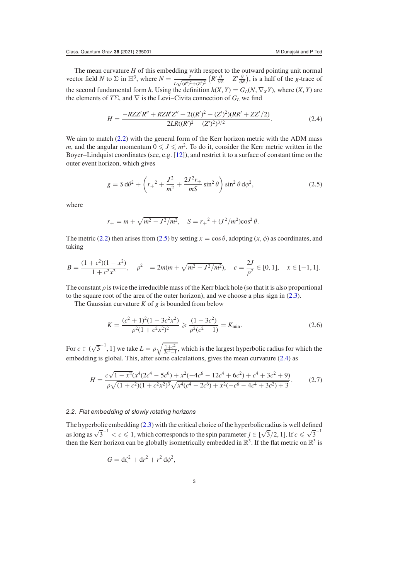The mean curvature *H* of this embedding with respect to the outward pointing unit normal vector field *N* to  $\Sigma$  in  $\mathbb{H}^3$ , where  $N = \frac{Z}{L\sqrt{(R')^2 + (Z')^2}} \left( \frac{\partial}{\partial \Omega} - Z' \frac{\partial}{\partial R} \right)$ , is a half of the *g*-trace of the second fundamental form *h*. Using the definition  $h(X, Y) = G<sub>L</sub>(N, \nabla<sub>X</sub>Y)$ , where  $(X, Y)$  are the elements of  $T\Sigma$ , and  $\nabla$  is the Levi–Civita connection of  $G_L$  we find

<span id="page-2-1"></span>
$$
H = \frac{-RZZ'R'' + RZR'Z'' + 2((R')^{2} + (Z')^{2})(RR' + ZZ'/2)}{2LR((R')^{2} + (Z')^{2})^{3/2}}.
$$
 (2.4)

We aim to match [\(2.2\)](#page-1-1) with the general form of the Kerr horizon metric with the ADM mass *m*, and the angular momentum  $0 \leq J \leq m^2$ . To do it, consider the Kerr metric written in the Boyer–Lindquist coordinates (see, e.g. [\[12\]](#page-8-7)), and restrict it to a surface of constant time on the outer event horizon, which gives

<span id="page-2-0"></span>
$$
g = S d\theta^2 + \left(r_+{}^2 + \frac{J^2}{m^2} + \frac{2J^2r_+}{mS}\sin^2\theta\right)\sin^2\theta d\phi^2,\tag{2.5}
$$

where

$$
r_+ = m + \sqrt{m^2 - J^2/m^2}
$$
,  $S = r_+^2 + (J^2/m^2)\cos^2 \theta$ .

The metric [\(2.2\)](#page-1-1) then arises from [\(2.5\)](#page-2-0) by setting  $x = \cos \theta$ , adopting  $(x, \phi)$  as coordinates, and taking

$$
B = \frac{(1+c^2)(1-x^2)}{1+c^2x^2}, \quad \rho^2 = 2m(m+\sqrt{m^2-J^2/m^2}), \quad c = \frac{2J}{\rho^2} \in [0,1], \quad x \in [-1,1].
$$

The constant  $\rho$  is twice the irreducible mass of the Kerr black hole (so that it is also proportional to the square root of the area of the outer horizon), and we choose a plus sign in [\(2.3\)](#page-1-2).

The Gaussian curvature *K* of *g* is bounded from below

<span id="page-2-3"></span><span id="page-2-2"></span>
$$
K = \frac{(c^2 + 1)^2 (1 - 3c^2 x^2)}{\rho^2 (1 + c^2 x^2)^2} \geq \frac{(1 - 3c^2)}{\rho^2 (c^2 + 1)} = K_{\min}.
$$
\n(2.6)

For  $c \in (\sqrt{3}^{-1}, 1]$  we take  $L = \rho \sqrt{\frac{1+c^2}{3c^2-1}}$ , which is the largest hyperbolic radius for which the embedding is global. This, after some calculations, gives the mean curvature [\(2.4\)](#page-2-1) as

$$
H = \frac{c\sqrt{1 - x^2}(x^4(2c^4 - 5c^6) + x^2(-4c^6 - 12c^4 + 6c^2) + c^4 + 3c^2 + 9)}{\rho\sqrt{(1 + c^2)(1 + c^2x^2)^3}\sqrt{x^4(c^4 - 2c^6) + x^2(-c^6 - 4c^4 + 3c^2) + 3}}.
$$
(2.7)

### 2.2. Flat embedding of slowly rotating horizons

The hyperbolic embedding [\(2.3\)](#page-1-2) with the critical choice of the hyperbolic radius is well defined as long as  $\sqrt{3}^{-1} < c \leq 1$ , which corresponds to the spin parameter  $j \in [\sqrt{3}/2, 1]$ . If  $c \leq \sqrt{3}^{-1}$ then the Kerr horizon can be globally isometrically embedded in  $\mathbb{R}^3$ . If the flat metric on  $\mathbb{R}^3$  is

$$
G = \mathrm{d}\zeta^2 + \mathrm{d}r^2 + r^2 \,\mathrm{d}\phi^2,
$$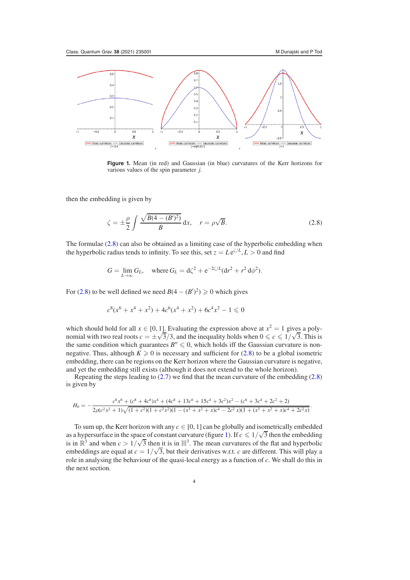.

<span id="page-3-2"></span>

**Figure 1.** Mean (in red) and Gaussian (in blue) curvatures of the Kerr horizons for various values of the spin parameter *j*.

then the embedding is given by

<span id="page-3-1"></span>
$$
\zeta = \pm \frac{\rho}{2} \int \frac{\sqrt{B(4 - (B')^2)}}{B} dx, \quad r = \rho \sqrt{B}.
$$
\n(2.8)

The formulae [\(2.8\)](#page-3-1) can also be obtained as a limiting case of the hyperbolic embedding when the hyperbolic radius tends to infinity. To see this, set  $z = Le^{\zeta/L}$ ,  $L > 0$  and find

$$
G = \lim_{L \to \infty} G_L
$$
, where  $G_L = d\zeta^2 + e^{-2\zeta/L} (dr^2 + r^2 d\phi^2)$ .

For [\(2.8\)](#page-3-1) to be well defined we need  $B(4 - (B')^2) \ge 0$  which gives

$$
c^{8}(x^{6} + x^{4} + x^{2}) + 4c^{6}(x^{4} + x^{2}) + 6c^{4}x^{2} - 1 \leq 0
$$

which should hold for all  $x \in [0, 1]$ . Evaluating the expression above at  $x^2 = 1$  gives a polynomial with two real roots  $c = \pm \sqrt{3}/3$ , and the inequality holds when  $0 \le c \le 1/\sqrt{3}$ . This is the same condition which guarantees  $B'' \leq 0$ , which holds iff the Gaussian curvature is nonnegative. Thus, although  $K \geq 0$  is necessary and sufficient for [\(2.8\)](#page-3-1) to be a global isometric embedding, there can be regions on the Kerr horizon where the Gaussian curvature is negative, and yet the embedding still exists (although it does not extend to the whole horizon).

Repeating the steps leading to [\(2.7\)](#page-2-2) we find that the mean curvature of the embedding [\(2.8\)](#page-3-1) is given by

$$
H_0 = -\frac{c^8 x^6 + (c^8 + 4c^6)x^4 + (4c^8 + 13c^6 + 15c^4 + 3c^2)x^2 - (c^6 + 3c^4 + 2c^2 + 2)}{2\rho(c^2 x^2 + 1)\sqrt{(1 + c^2)(1 + c^2 x^2)(1 - (x^3 + x^2 + x)c^4 - 2c^2 x)(1 + (x^3 + x^2 + x)c^4 + 2c^2 x)}}
$$

<span id="page-3-0"></span>To sum up, the Kerr horizon with any  $c \in [0, 1]$  can be globally and isometrically embedded as a hypersurface in the space of constant curvature (figure [1\)](#page-3-2). If  $c \leq 1/\sqrt{3}$  then the embedding is in  $\mathbb{R}^3$  and when  $c > 1/\sqrt{3}$  then it is in  $\mathbb{H}^3$ . The mean curvatures of the flat and hyperbolic embeddings are equal at  $c = 1/\sqrt{3}$ , but their derivatives w.r.t. *c* are different. This will play a role in analysing the behaviour of the quasi-local energy as a function of *c*. We shall do this in the next section.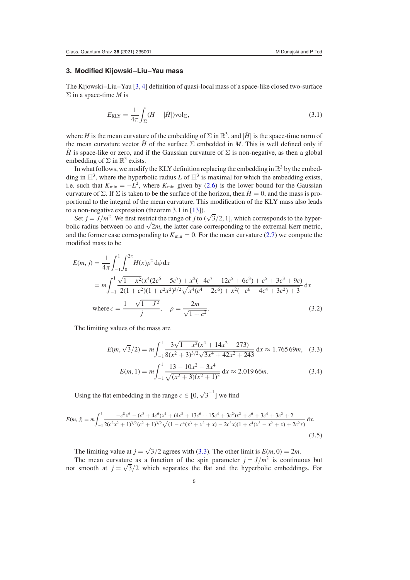## **3. Modified Kijowski–Liu–Yau mass**

The Kijowski–Liu–Yau [\[3,](#page-8-1) [4\]](#page-8-2) definition of quasi-local mass of a space-like closed two-surface Σ in a space-time *M* is

$$
E_{\text{KLY}} = \frac{1}{4\pi} \int_{\Sigma} (H - |\hat{H}|) \text{vol}_{\Sigma},\tag{3.1}
$$

where *H* is the mean curvature of the embedding of  $\Sigma$  in  $\mathbb{R}^3$ , and  $|\hat{H}|$  is the space-time norm of the mean curvature vector  $\hat{H}$  of the surface  $\Sigma$  embedded in *M*. This is well defined only if *H* is space-like or zero, and if the Gaussian curvature of  $\Sigma$  is non-negative, as then a global embedding of  $\Sigma$  in  $\mathbb{R}^3$  exists.

In what follows, we modify the KLY definition replacing the embedding in  $\mathbb{R}^3$  by the embedding in  $\mathbb{H}^3$ , where the hyperbolic radius *L* of  $\mathbb{H}^3$  is maximal for which the embedding exists, i.e. such that  $K_{\text{min}} = -L^2$ , where  $K_{\text{min}}$  given by [\(2.6\)](#page-2-3) is the lower bound for the Gaussian curvature of  $\Sigma$ . If  $\Sigma$  is taken to be the surface of the horizon, then  $\hat{H} = 0$ , and the mass is proportional to the integral of the mean curvature. This modification of the KLY mass also leads to a non-negative expression (theorem 3.1 in [\[13\]](#page-8-8)).

Set  $j = J/m^2$ . We first restrict the range of *j* to ( $\sqrt{3}/2$ , 1], which corresponds to the hyperbolic radius between  $\infty$  and  $\sqrt{2m}$ , the latter case corresponding to the extremal Kerr metric, and the former case corresponding to  $K_{\text{min}} = 0$ . For the mean curvature [\(2.7\)](#page-2-2) we compute the modified mass to be

<span id="page-4-1"></span>
$$
E(m, j) = \frac{1}{4\pi} \int_{-1}^{1} \int_{0}^{2\pi} H(x)\rho^{2} d\phi dx
$$
  
=  $m \int_{-1}^{1} \frac{\sqrt{1 - x^{2}}(x^{4}(2c^{5} - 5c^{7}) + x^{2}(-4c^{7} - 12c^{5} + 6c^{3}) + c^{5} + 3c^{3} + 9c)}{2(1 + c^{2})(1 + c^{2}x^{2})^{3/2}\sqrt{x^{4}(c^{4} - 2c^{6}) + x^{2}(-c^{6} - 4c^{4} + 3c^{2}) + 3}} dx$   
where  $c = \frac{1 - \sqrt{1 - J^{2}}}{j}, \quad \rho = \frac{2m}{\sqrt{1 + c^{2}}}.$  (3.2)

The limiting values of the mass are

$$
E(m,\sqrt{3}/2) = m \int_{-1}^{1} \frac{3\sqrt{1 - x^2}(x^4 + 14x^2 + 273)}{8(x^2 + 3)^{3/2}\sqrt{3x^4 + 42x^2 + 243}} dx \approx 1.76569m, \quad (3.3)
$$

<span id="page-4-0"></span>
$$
E(m, 1) = m \int_{-1}^{1} \frac{13 - 10x^2 - 3x^4}{\sqrt{(x^2 + 3)(x^2 + 1)^3}} dx \approx 2.01966m.
$$
 (3.4)

Using the flat embedding in the range  $c \in [0, \sqrt{3}^{-1}]$  we find

$$
E(m, j) = m \int_{-1}^{1} \frac{-c^8 x^6 - (c^8 + 4c^6) x^4 + (4c^8 + 13c^6 + 15c^4 + 3c^2) x^2 + c^6 + 3c^4 + 3c^2 + 2}{2(c^2 x^2 + 1)^{3/2} (c^2 + 1)^{3/2} \sqrt{(1 - c^4 (x^3 + x^2 + x) - 2c^2 x)(1 + c^4 (x^3 - x^2 + x) + 2c^2 x)}} dx.
$$
\n(3.5)

The limiting value at  $j = \sqrt{3}/2$  agrees with [\(3.3\)](#page-4-0). The other limit is  $E(m, 0) = 2m$ .

The mean curvature as a function of the spin parameter  $j = J/m^2$  is continuous but not smooth at  $j = \sqrt{3}/2$  which separates the flat and the hyperbolic embeddings. For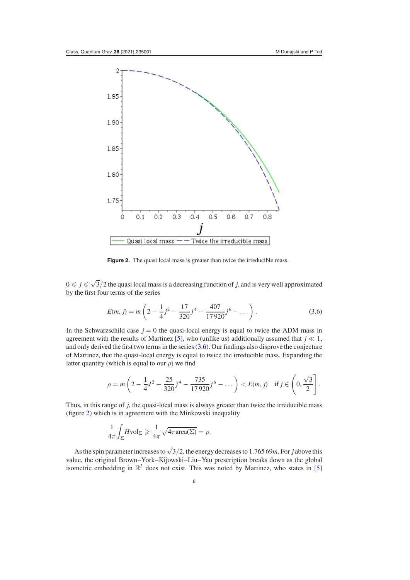<span id="page-5-1"></span>

**Figure 2.** The quasi local mass is greater than twice the irreducible mass.

 $0 \leq j \leq \sqrt{3}/2$  the quasi local mass is a decreasing function of *j*, and is very well approximated by the first four terms of the series

<span id="page-5-0"></span>
$$
E(m, j) = m \left( 2 - \frac{1}{4} j^2 - \frac{17}{320} j^4 - \frac{407}{17920} j^6 - \dots \right).
$$
 (3.6)

In the Schwarzschild case  $j = 0$  the quasi-local energy is equal to twice the ADM mass in agreement with the results of Martinez [\[5\]](#page-8-9), who (unlike us) additionally assumed that  $j \ll 1$ , and only derived the first two terms in the series [\(3.6\)](#page-5-0). Our findings also disprove the conjecture of Martinez, that the quasi-local energy is equal to twice the irreducible mass. Expanding the latter quantity (which is equal to our  $\rho$ ) we find

$$
\rho = m \left( 2 - \frac{1}{4} J^2 - \frac{25}{320} j^4 - \frac{735}{17920} j^6 - \dots \right) < E(m, j) \text{ if } j \in \left( 0, \frac{\sqrt{3}}{2} \right].
$$

Thus, in this range of *j*, the quasi-local mass is always greater than twice the irreducible mass (figure [2\)](#page-5-1) which is in agreement with the Minkowski inequality

$$
\frac{1}{4\pi} \int_{\Sigma} H \text{vol}_{\Sigma} \geq \frac{1}{4\pi} \sqrt{4\pi \text{area}(\Sigma)} = \rho.
$$

As the spin parameter increases to  $\sqrt{3}/2$ , the energy decreases to 1.765 69*m*. For *j* above this value, the original Brown–York–Kijowski–Liu–Yau prescription breaks down as the global isometric embedding in  $\mathbb{R}^3$  does not exist. This was noted by Martinez, who states in [\[5\]](#page-8-9)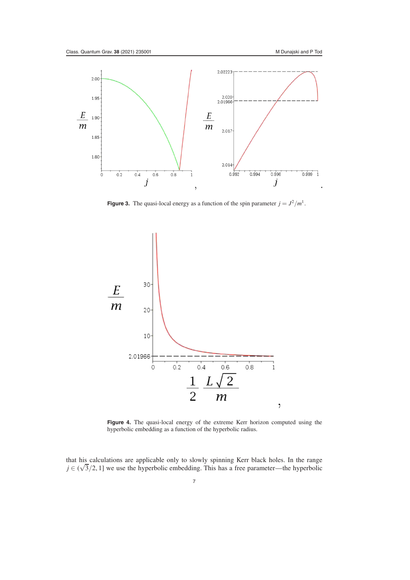<span id="page-6-0"></span>

**Figure 3.** The quasi-local energy as a function of the spin parameter  $j = J^2/m^1$ .

<span id="page-6-1"></span>

**Figure 4.** The quasi-local energy of the extreme Kerr horizon computed using the hyperbolic embedding as a function of the hyperbolic radius.

that his calculations are applicable only to slowly spinning Kerr black holes. In the range  $j \in (\sqrt{3}/2, 1]$  we use the hyperbolic embedding. This has a free parameter—the hyperbolic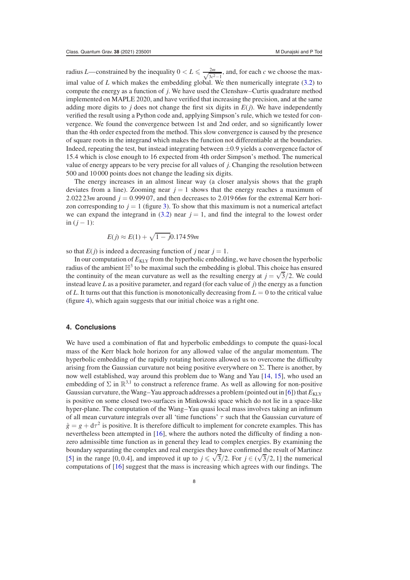radius *L*—constrained by the inequality  $0 < L \le \frac{2m}{\sqrt{2\pi^2}}$  $\frac{2m}{3c^2-1}$ , and, for each *c* we choose the maximal value of *L* which makes the embedding global. We then numerically integrate [\(3.2\)](#page-4-1) to compute the energy as a function of *j*. We have used the Clenshaw–Curtis quadrature method implemented on MAPLE 2020, and have verified that increasing the precision, and at the same adding more digits to *j* does not change the first six digits in  $E(j)$ . We have independently verified the result using a Python code and, applying Simpson's rule, which we tested for convergence. We found the convergence between 1st and 2nd order, and so significantly lower than the 4th order expected from the method. This slow convergence is caused by the presence of square roots in the integrand which makes the function not differentiable at the boundaries. Indeed, repeating the test, but instead integrating between  $\pm 0.9$  yields a convergence factor of 15.4 which is close enough to 16 expected from 4th order Simpson's method. The numerical value of energy appears to be very precise for all values of *j*. Changing the resolution between 500 and 10 000 points does not change the leading six digits.

The energy increases in an almost linear way (a closer analysis shows that the graph deviates from a line). Zooming near  $j = 1$  shows that the energy reaches a maximum of 2.022 23 $m$  around  $j = 0.99907$ , and then decreases to 2.019 66 $m$  for the extremal Kerr horizon corresponding to  $j = 1$  (figure [3\)](#page-6-0). To show that this maximum is not a numerical artefact we can expand the integrand in  $(3.2)$  near  $j = 1$ , and find the integral to the lowest order  $in (i - 1):$ 

$$
E(j) \approx E(1) + \sqrt{1 - j}0.17459m
$$

so that  $E(j)$  is indeed a decreasing function of *j* near  $j = 1$ .

In our computation of  $E_{\text{KLY}}$  from the hyperbolic embedding, we have chosen the hyperbolic radius of the ambient  $\mathbb{H}^3$  to be maximal such the embedding is global. This choice has ensured the continuity of the mean curvature as well as the resulting energy at  $j = \sqrt{3}/2$ . We could instead leave *L* as a positive parameter, and regard (for each value of *j*) the energy as a function of *L*. It turns out that this function is monotonically decreasing from  $L = 0$  to the critical value (figure [4\)](#page-6-1), which again suggests that our initial choice was a right one.

## **4. Conclusions**

We have used a combination of flat and hyperbolic embeddings to compute the quasi-local mass of the Kerr black hole horizon for any allowed value of the angular momentum. The hyperbolic embedding of the rapidly rotating horizons allowed us to overcome the difficulty arising from the Gaussian curvature not being positive everywhere on  $\Sigma$ . There is another, by now well established, way around this problem due to Wang and Yau [\[14,](#page-9-0) [15\]](#page-9-1), who used an embedding of  $\Sigma$  in  $\mathbb{R}^{3,1}$  to construct a reference frame. As well as allowing for non-positive Gaussian curvature, the Wang–Yau approach addresses a problem (pointed out in [\[6\]](#page-8-10)) that  $E_{\text{KLY}}$ is positive on some closed two-surfaces in Minkowski space which do not lie in a space-like hyper-plane. The computation of the Wang–Yau quasi local mass involves taking an infimum of all mean curvature integrals over all 'time functions'  $\tau$  such that the Gaussian curvature of  $\hat{g} = g + d\tau^2$  is positive. It is therefore difficult to implement for concrete examples. This has nevertheless been attempted in [\[16\]](#page-9-2), where the authors noted the difficulty of finding a nonzero admissible time function as in general they lead to complex energies. By examining the boundary separating the complex and real energies they have confirmed the result of Martinez [\[5\]](#page-8-9) in the range [0, 0.4], and improved it up to  $j \leq \sqrt{3}/2$ . For  $j \in (\sqrt{3}/2, 1]$  the numerical computations of [\[16\]](#page-9-2) suggest that the mass is increasing which agrees with our findings. The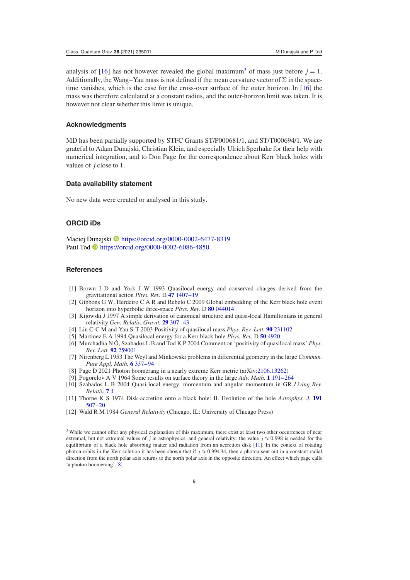analysis of [\[16\]](#page-9-2) has not however revealed the global maximum<sup>[3](#page-8-11)</sup> of mass just before  $j = 1$ . Additionally, the Wang–Yau mass is not defined if the mean curvature vector of  $\Sigma$  in the spacetime vanishes, which is the case for the cross-over surface of the outer horizon. In [\[16\]](#page-9-2) the mass was therefore calculated at a constant radius, and the outer-horizon limit was taken. It is however not clear whether this limit is unique.

#### **Acknowledgments**

MD has been partially supported by STFC Grants ST/P000681/1, and ST/T000694/1. We are grateful to Adam Dunajski, Christian Klein, and especially Ulrich Sperhake for their help with numerical integration, and to Don Page for the correspondence about Kerr black holes with values of *j* close to 1.

## **Data availability statement**

No new data were created or analysed in this study.

## **ORCID iDs**

Maciej [Duna](https://orcid.org/0000-0002-6086-4850)jski <https://orcid.org/0000-0002-6477-8319> Paul Tod <https://orcid.org/0000-0002-6086-4850>

## **References**

- <span id="page-8-3"></span>[1] Brown J D and York J W 1993 Quasilocal energy and conserved charges derived from the gravitational action *Phys. Rev.* D **[47](https://doi.org/10.1103/physrevd.47.1407)** [1407–19](https://doi.org/10.1103/physrevd.47.1407)
- <span id="page-8-6"></span>[2] Gibbons G W, Herdeiro C A R and Rebelo C 2009 Global embedding of the Kerr black hole event horizon into hyperbolic three-space *Phys. Rev.* D **[80](https://doi.org/10.1103/physrevd.80.044014)** [044014](https://doi.org/10.1103/physrevd.80.044014)
- <span id="page-8-1"></span>[3] Kijowski J 1997 A simple derivation of canonical structure and quasi-local Hamiltonians in general relativity *Gen. Relativ. Gravit.* **[29](https://doi.org/10.1023/a:1010268818255)** [307–43](https://doi.org/10.1023/a:1010268818255)
- <span id="page-8-2"></span>[4] Liu C-C M and Yau S-T 2003 Positivity of quasilocal mass *Phys. Rev. Lett.* **[90](https://doi.org/10.1103/physrevlett.90.231102)** [231102](https://doi.org/10.1103/physrevlett.90.231102)
- <span id="page-8-9"></span>[5] Martinez E A 1994 Quasilocal energy for a Kerr black hole *Phys. Rev.* D **[50](https://doi.org/10.1103/physrevd.50.4920)** [4920](https://doi.org/10.1103/physrevd.50.4920)
- <span id="page-8-10"></span>[6] Murchadha N Ó, Szabados L B and Tod K P 2004 Comment on 'positivity of quasilocal mass' *Phys. Rev. Lett.* **[92](https://doi.org/10.1103/physrevlett.92.259001)** [259001](https://doi.org/10.1103/physrevlett.92.259001)
- <span id="page-8-4"></span>[7] Nirenberg L 1953 The Weyl and Minkowski problems in differential geometry in the large *Commun. Pure Appl. Math.* **[6](https://doi.org/10.1002/cpa.3160060303)** [337–94](https://doi.org/10.1002/cpa.3160060303)
- <span id="page-8-13"></span>[8] Page D 2021 Photon boomerang in a nearly extreme Kerr metric (arXiv[:2106.13262\)](https://arxiv.org/abs/2106.13262)
- <span id="page-8-5"></span>[9] Pogorelov A V 1964 Some results on surface theory in the large *Adv. Math.* **[1](https://doi.org/10.1016/0001-8708(65)90039-3)** [191–264](https://doi.org/10.1016/0001-8708(65)90039-3)
- <span id="page-8-0"></span>[10] Szabados L B 2004 Quasi-local energy–momentum and angular momentum in GR *Living Rev. Relativ.* **[7](https://doi.org/10.12942/lrr-2004-4)** [4](https://doi.org/10.12942/lrr-2004-4)
- <span id="page-8-12"></span>[11] Thorne K S 1974 Disk-accretion onto a black hole: II. Evolution of the hole *Astrophys. J.* **[191](https://doi.org/10.1086/152991)** [507–20](https://doi.org/10.1086/152991)
- <span id="page-8-8"></span><span id="page-8-7"></span>[12] Wald R M 1984 *General Relativity* (Chicago, IL: University of Chicago Press)

<span id="page-8-11"></span><sup>3</sup> While we cannot offer any physical explanation of this maximum, there exist at least two other occurrences of near extremal, but not extremal values of *j* in astrophysics, and general relativity: the value  $j \approx 0.998$  is needed for the equilibrium of a black hole absorbing matter and radiation from an accretion disk [\[11\]](#page-8-12). In the context of rotating photon orbits in the Kerr solution it has been shown that if *j* ≈ 0.994 34, then a photon sent out in a constant radial direction from the north polar axis returns to the north polar axis in the opposite direction. An effect which page calls 'a photon boomerang' [\[8\]](#page-8-13).